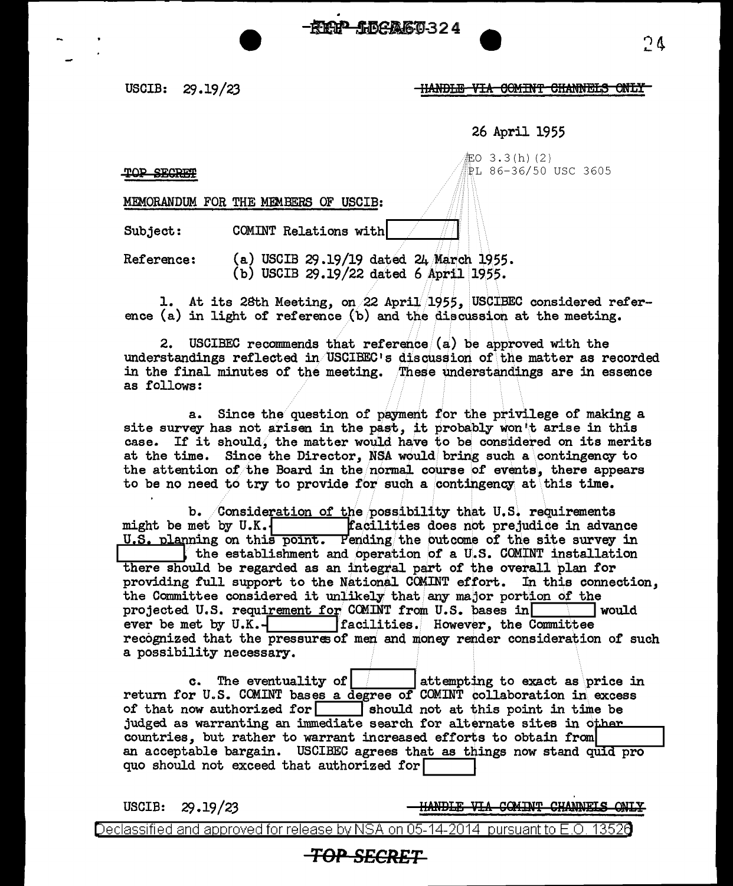. F. B. 456860324

## USCIB: 29.19/23 HANDLE VIA COMINT CHANNELS ONLY

26 April 1955

*iEO* 3 . 3 ( h) ( 2 )  $T$ OP SECRET  $\sqrt{R}$  l 86-36/50 USC 3605

MEMORANDUM FOR THE MEMBERS OF USCIB:

Subject: COMINT Relations with

Reference: (a.) USCIB 29 .19/19 dated 24/March 1955. (b) USCIB  $29.19/22$  dated 6 April 1955.

1. At its 28th Meeting, on 22 April 1955, USCIBEC considered reference (a) in light of reference (b) and the discussion at the meeting.

2. USCIBEC recommends that reference  $(a)$  be approved with the understandings reflected in USCIBEC's discussion of the matter as recorded in the final minutes of the meeting. These understandings are in essence as follows:

a. Since the question of payment for the privilege of making a site survey has not arisen in the past, it probably won't arise in this case. If it should, the matter would have to be considered on its merits at the time. Since the Director, NSA would bring such a contingency to the attention of the Board in the normal course of events, there appears to be no need to try to provide for such a contingency at this time.

b. Consideration of the possibility that U.S. requirements might be met by U.K.  $\begin{bmatrix} \text{facilities does not prejudice in advance} \end{bmatrix}$ might be met by U.K.<sup>1</sup> **facilities does not prejudice in advance** U.S. planning on this point. Pending the outcome of the site survey in at the time. Since the Director, NSA would bring such a contingency to<br>the attention of the Board in the normal course of events, there appears<br>to be no need to try to provide for such a contingency at this time.<br>b. Consid there should be regarded as an integral part of the overall plan for providing full support to the National COMINT effort. In this connection, the Committee considered it unlikely that any major portion of the projected U.S. requirement for CCMINT from U.S. bases in  $\blacksquare$  would ever be met by U.K.- lacilities. However, the Committee recognized that the pressures of men and money render consideration of such a possibility necessary.

c. The eventuality of  $\vert$  is attempting to exact as price in return for U.S. COMINT bases a degree of COMINT collaboration in\ excess of that now authorized for  $\Box$  should not at this point in time be judged as warranting an immediate search for alternate sites in other countries, but rather to warrant increased efforts to obtain from an acceptable bargain. USCIBEC agrees that as things now stand quid pro quo should not exceed that authorized for

USCIB:  $29.19 / 23$ 

HANDLE VIA COMINT CHANNELS ONLY

Declassified and approved for release by NSA on 05-14-2014 pursuant to E.O. 1352 $\theta$ 

## **TOP SECRET**